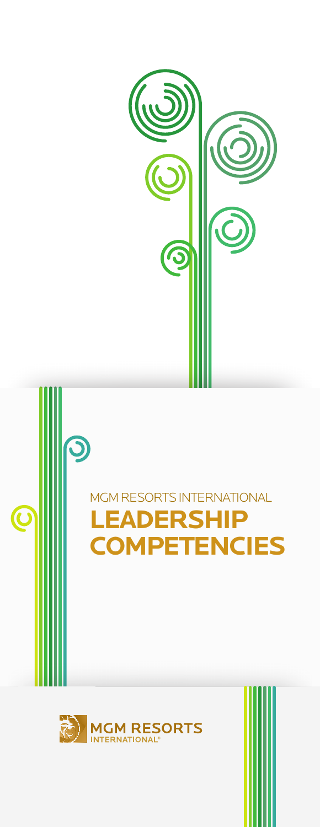

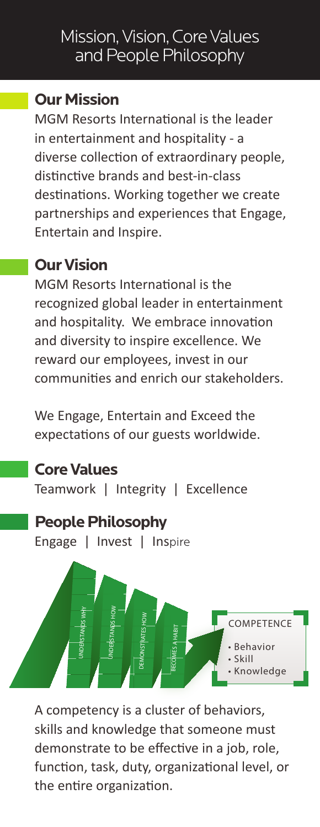## Mission, Vision, Core Values and People Philosophy

#### **Our Mission**

MGM Resorts International is the leader in entertainment and hospitality - a diverse collection of extraordinary people, distinctive brands and best-in-class destinations. Working together we create partnerships and experiences that Engage, Entertain and Inspire.

### **Our Vision**

MGM Resorts International is the recognized global leader in entertainment and hospitality. We embrace innovation and diversity to inspire excellence. We reward our employees, invest in our communities and enrich our stakeholders.

We Engage, Entertain and Exceed the expectations of our guests worldwide.

### **Core Values**

Teamwork | Integrity | Excellence

#### **People Philosophy**

Engage | Invest | Inspire



A competency is a cluster of behaviors, skills and knowledge that someone must demonstrate to be effective in a job, role, function, task, duty, organizational level, or the entire organization.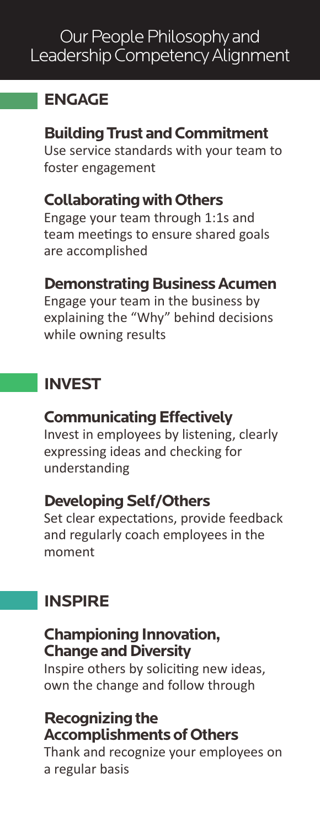# **ENGAGE**

**Building Trust and Commitment** Use service standards with your team to foster engagement

## **Collaborating with Others**

Engage your team through 1:1s and team meetings to ensure shared goals are accomplished

### **Demonstrating Business Acumen**

Engage your team in the business by explaining the "Why" behind decisions while owning results

# **INVEST**

#### **Communicating Effectively**

Invest in employees by listening, clearly expressing ideas and checking for understanding

#### **Developing Self/Others**

Set clear expectations, provide feedback and regularly coach employees in the moment

# **INSPIRE**

### **Championing Innovation, Change and Diversity**

Inspire others by soliciting new ideas, own the change and follow through

### **Recognizing the Accomplishments of Others**

Thank and recognize your employees on a regular basis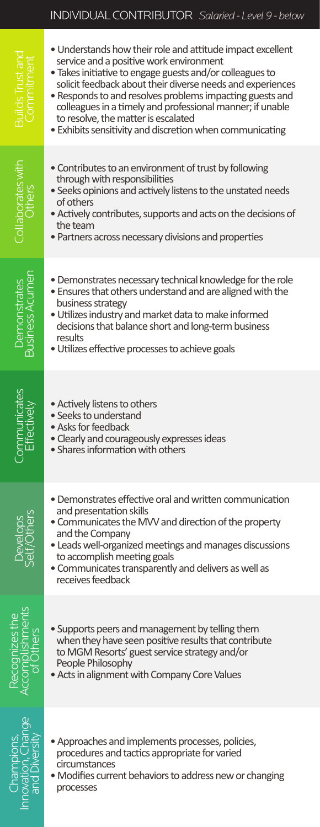#### INDIVIDUAL CONTRIBUTOR *Salaried - Level 9 - below*

| lilds Trust a                 | • Understands how their role and attitude impact excellent<br>service and a positive work environment<br>. Takes initiative to engage guests and/or colleagues to<br>solicit feedback about their diverse needs and experiences<br>• Responds to and resolves problems impacting guests and<br>colleagues in a timely and professional manner; if unable<br>to resolve, the matter is escalated<br>• Exhibits sensitivity and discretion when communicating |
|-------------------------------|-------------------------------------------------------------------------------------------------------------------------------------------------------------------------------------------------------------------------------------------------------------------------------------------------------------------------------------------------------------------------------------------------------------------------------------------------------------|
| Collaborates with<br>Others   | • Contributes to an environment of trust by following<br>through with responsibilities<br>. Seeks opinions and actively listens to the unstated needs<br>of others<br>• Actively contributes, supports and acts on the decisions of<br>the team<br>• Partners across necessary divisions and properties                                                                                                                                                     |
| Demonstrates<br>siness Acumer | • Demonstrates necessary technical knowledge for the role<br>. Ensures that others understand and are aligned with the<br>business strategy<br>. Utilizes industry and market data to make informed<br>decisions that balance short and long-term business<br>results<br>· Utilizes effective processes to achieve goals                                                                                                                                    |
|                               | · Actively listens to others<br>• Seeks to understand<br>• Asks for feedback<br>· Clearly and courageously expresses ideas<br>• Shares information with others                                                                                                                                                                                                                                                                                              |
|                               | • Demonstrates effective oral and written communication<br>and presentation skills<br>• Communicates the MVV and direction of the property<br>and the Company<br>• Leads well-organized meetings and manages discussions<br>to accomplish meeting goals<br>· Communicates transparently and delivers as well as<br>receives feedback                                                                                                                        |
|                               | • Supports peers and management by telling them<br>when they have seen positive results that contribute<br>to MGM Resorts' guest service strategy and/or<br>People Philosophy<br>• Acts in alignment with Company Core Values                                                                                                                                                                                                                               |
|                               | • Approaches and implements processes, policies,<br>procedures and tactics appropriate for varied<br>circumstances<br>• Modifies current behaviors to address new or changing<br>processes                                                                                                                                                                                                                                                                  |

Innc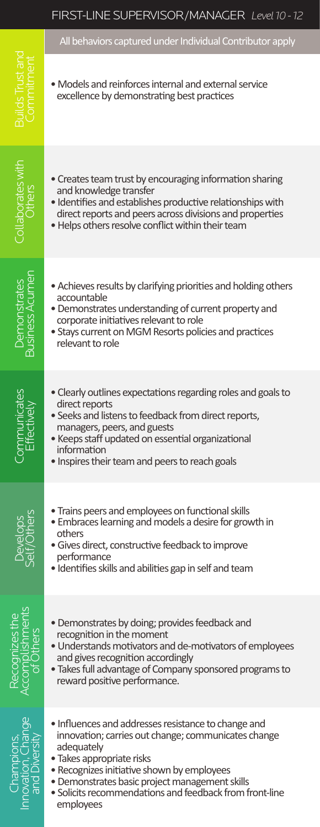All behaviors captured under Individual Contributor apply

- Models and reinforces internal and external service excellence by demonstrating best practices
	- Creates team trust by encouraging information sharing and knowledge transfer
	- Identifies and establishes productive relationships with direct reports and peers across divisions and properties
	- Helps others resolve conflict within their team
	- Achieves results by clarifying priorities and holding others accountable
	- Demonstrates understanding of current property and corporate initiatives relevant to role
	- Stays current on MGM Resorts policies and practices relevant to role
	- Clearly outlines expectations regarding roles and goals to direct reports
	- Seeks and listens to feedback from direct reports, managers, peers, and guests
	- Keeps staff updated on essential organizational information
	- Inspires their team and peers to reach goals
	- Trains peers and employees on functional skills
	- Embraces learning and models a desire for growth in others
	- Gives direct, constructive feedback to improve performance
	- Identifies skills and abilities gap in self and team
	- Demonstrates by doing; provides feedback and recognition in the moment
	- Understands motivators and de-motivators of employees and gives recognition accordingly
	- Takes full advantage of Company sponsored programs to reward positive performance.

**Demonstrates** Business Acumen

**Business Acumer Jemonstrates** 

Collaborates with<br>Others

Communicates **Effectively** 

Develops<br>Self/Others

Lishments

- Influences and addresses resistance to change and innovation; carries out change; communicates change adequately
- Takes appropriate risks
- Recognizes initiative shown by employees
- Demonstrates basic project management skills
- Solicits recommendations and feedback from front-line employees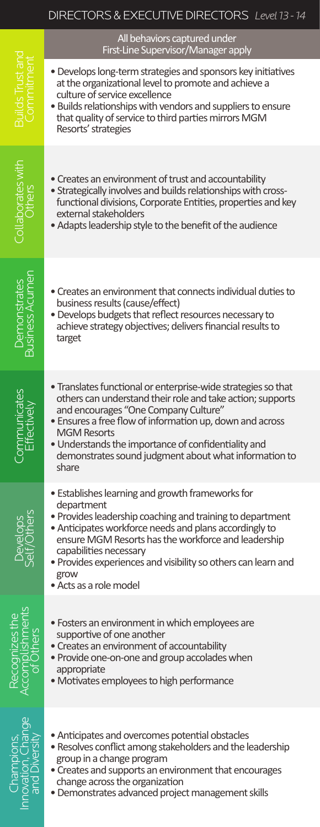#### DIRECTORS & EXECUTIVE DIRECTORS *Level 13 - 14*

All behaviors captured under

First-Line Supervisor/Manager applyChampions, Recognizes the Develops<br>Innovation, Change Accomplishments Self/Others Effectively Business Acumen Collaborates inth Builds Trust and<br>and Diversity of Others Self/Others • Develops long-term strategies and sponsors key initiatives at the organizational level to promote and achieve a culture of service excellence • Builds relationships with vendors and suppliers to ensure that quality of service to third parties mirrors MGM Resorts' strategies Collaborates with<br>Others • Creates an environment of trust and accountability • Strategically involves and builds relationships with crossfunctional divisions, Corporate Entities, properties and key external stakeholders • Adapts leadership style to the benefit of the audience **Business Acumen** Business Acumen • Creates an environment that connects individual duties to business results (cause/effect) • Develops budgets that reflect resources necessary to achieve strategy objectives; delivers financial results to target • Translates functional or enterprise-wide strategies so that others can understand their role and take action; supports **Effectively** and encourages "One Company Culture" • Ensures a free flow of information up, down and across MGM Resorts • Understands the importance of confidentiality and demonstrates sound judgment about what information to share • Establishes learning and growth frameworks for department Develops<br>Self/Others • Provides leadership coaching and training to department • Anticipates workforce needs and plans accordingly to ensure MGM Resorts has the workforce and leadership capabilities necessary • Provides experiences and visibility so others can learn and grow • Acts as a role model ishments • Fosters an environment in which employees are supportive of one another • Creates an environment of accountability • Provide one-on-one and group accolades when appropriate • Motivates employees to high performance • Anticipates and overcomes potential obstacles • Resolves conflict among stakeholders and the leadership group in a change program • Creates and supports an environment that encourages change across the organization

**Demonstrates** 

Demonstrates

Communicates

• Demonstrates advanced project management skills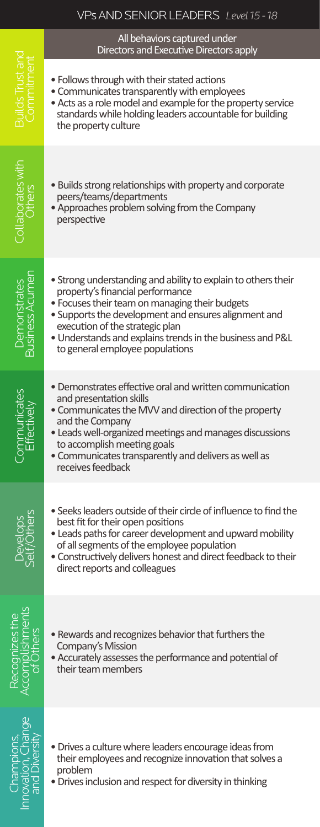#### VPs AND SENIOR LEADERS *Level 15 - 18*

#### All behaviors captured under Directors and Executive Directors apply

- Follows through with their stated actions
- Communicates transparently with employees
- Acts as a role model and example for the property service standards while holding leaders accountable for building the property culture
- Builds strong relationships with property and corporate peers/teams/departments
- Approaches problem solving from the Company perspective
- Strong understanding and ability to explain to others their property's financial performance
- Focuses their team on managing their budgets
- Supports the development and ensures alignment and execution of the strategic plan
- Understands and explains trends in the business and P&L to general employee populations
- Demonstrates effective oral and written communication and presentation skills
- Communicates the MVV and direction of the property and the Company
- Leads well-organized meetings and manages discussions to accomplish meeting goals
- Communicates transparently and delivers as well as receives feedback
- Seeks leaders outside of their circle of influence to find the best fit for their open positions
- Leads paths for career development and upward mobility of all segments of the employee population
- Constructively delivers honest and direct feedback to their direct reports and colleagues

ishments

Develops<br>Self/Others

**Demonstrates** Business Acumen

**Business Acumer Jemonstrates** 

Collaborates with<br>Others

Communicates **Effectively** 

- Rewards and recognizes behavior that furthers the Company's Mission
- Accurately assesses the performance and potential of their team members
- Champions, Recognizes the Develops<br>Innovation, Change Accomplishments Self/Others Effectively Business Acumen Collaborates inth Builds Trust and<br>and Diversity of Others Self/Others
- Drives a culture where leaders encourage ideas from their employees and recognize innovation that solves a problem
- Drives inclusion and respect for diversity in thinking